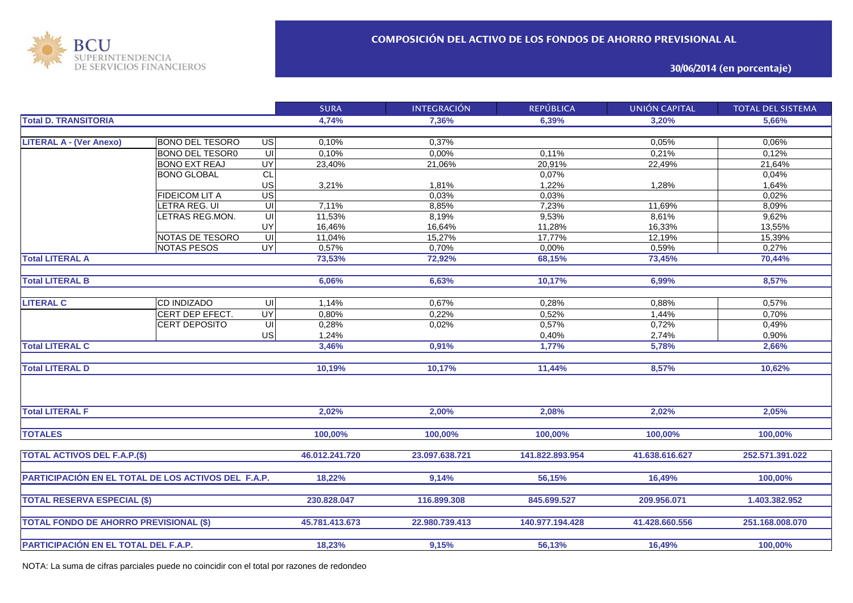

**30/06/2014 (en porcentaje)**

|                                                     |                        |                 | <b>SURA</b>    | <b>INTEGRACIÓN</b> | <b>REPÚBLICA</b> | <b>UNIÓN CAPITAL</b> | <b>TOTAL DEL SISTEMA</b> |
|-----------------------------------------------------|------------------------|-----------------|----------------|--------------------|------------------|----------------------|--------------------------|
| <b>Total D. TRANSITORIA</b>                         |                        |                 | 4,74%          | 7,36%              | 6,39%            | 3,20%                | 5,66%                    |
|                                                     |                        |                 |                |                    |                  |                      |                          |
| <b>LITERAL A - (Ver Anexo)</b>                      | <b>BONO DEL TESORO</b> | US              | 0,10%          | 0,37%              |                  | 0,05%                | 0,06%                    |
|                                                     | <b>BONO DEL TESOR0</b> | ਗ               | 0,10%          | 0,00%              | 0.11%            | 0,21%                | 0,12%                    |
|                                                     | <b>BONO EXT REAJ</b>   | <b>UY</b>       | 23,40%         | 21,06%             | 20,91%           | 22,49%               | 21,64%                   |
|                                                     | <b>BONO GLOBAL</b>     | CL              |                |                    | 0,07%            |                      | 0,04%                    |
|                                                     |                        | US              | 3,21%          | 1,81%              | 1,22%            | 1,28%                | 1,64%                    |
|                                                     | <b>FIDEICOM LIT A</b>  | $\overline{US}$ |                | 0,03%              | 0,03%            |                      | 0,02%                    |
|                                                     | LETRA REG. UI          | UI              | 7,11%          | 8,85%              | 7,23%            | 11,69%               | 8,09%                    |
|                                                     | LETRAS REG.MON.        | UI              | 11,53%         | 8,19%              | 9,53%            | 8,61%                | 9,62%                    |
|                                                     |                        | UY              | 16,46%         | 16,64%             | 11,28%           | 16,33%               | 13,55%                   |
|                                                     | NOTAS DE TESORO        | $\subseteq$     | 11,04%         | 15,27%             | 17,77%           | 12,19%               | 15,39%                   |
|                                                     | NOTAS PESOS            | UY              | 0,57%          | 0,70%              | 0,00%            | 0,59%                | 0,27%                    |
| <b>Total LITERAL A</b>                              |                        |                 | 73,53%         | 72,92%             | 68,15%           | 73,45%               | 70,44%                   |
|                                                     |                        |                 |                |                    |                  |                      |                          |
| <b>Total LITERAL B</b>                              |                        |                 | 6,06%          | 6,63%              | 10,17%           | 6,99%                | 8,57%                    |
|                                                     |                        |                 |                |                    |                  |                      |                          |
| <b>LITERAL C</b>                                    | <b>CD INDIZADO</b>     | UI              | 1,14%          | 0,67%              | 0,28%            | 0,88%                | 0,57%                    |
|                                                     | CERT DEP EFECT.        | <b>UY</b>       | 0,80%          | 0,22%              | 0,52%            | 1,44%                | 0,70%                    |
|                                                     | CERT DEPOSITO          | $\subseteq$     | 0,28%          | 0,02%              | 0,57%            | 0,72%                | 0,49%                    |
|                                                     |                        | US              | 1,24%          |                    | 0,40%            | 2,74%                | 0,90%                    |
| <b>Total LITERAL C</b>                              |                        |                 | 3,46%          | 0,91%              | 1,77%            | 5,78%                | 2,66%                    |
|                                                     |                        |                 |                |                    |                  |                      |                          |
| <b>Total LITERAL D</b>                              |                        |                 | 10,19%         | 10,17%             | 11,44%           | 8,57%                | 10,62%                   |
|                                                     |                        |                 |                |                    |                  |                      |                          |
| <b>Total LITERAL F</b>                              |                        |                 | 2,02%          | 2,00%              | 2,08%            | 2,02%                | 2,05%                    |
|                                                     |                        |                 |                |                    |                  |                      |                          |
| <b>TOTALES</b>                                      |                        |                 | 100,00%        | 100,00%            | 100,00%          | 100,00%              | 100,00%                  |
| <b>TOTAL ACTIVOS DEL F.A.P.(\$)</b>                 |                        |                 | 46.012.241.720 | 23.097.638.721     | 141.822.893.954  | 41.638.616.627       | 252.571.391.022          |
|                                                     |                        |                 |                |                    |                  |                      |                          |
| PARTICIPACIÓN EN EL TOTAL DE LOS ACTIVOS DEL F.A.P. |                        |                 | 18,22%         | 9,14%              | 56,15%           | 16,49%               | 100,00%                  |
|                                                     |                        |                 |                |                    |                  |                      |                          |
| <b>TOTAL RESERVA ESPECIAL (\$)</b>                  |                        |                 | 230.828.047    | 116.899.308        | 845.699.527      | 209.956.071          | 1.403.382.952            |
|                                                     |                        |                 | 45.781.413.673 | 22.980.739.413     | 140.977.194.428  | 41.428.660.556       | 251.168.008.070          |
| <b>TOTAL FONDO DE AHORRO PREVISIONAL (\$)</b>       |                        |                 |                |                    |                  |                      |                          |
| PARTICIPACIÓN EN EL TOTAL DEL F.A.P.                |                        |                 | 18,23%         | 9,15%              | 56,13%           | 16,49%               | 100,00%                  |

NOTA: La suma de cifras parciales puede no coincidir con el total por razones de redondeo